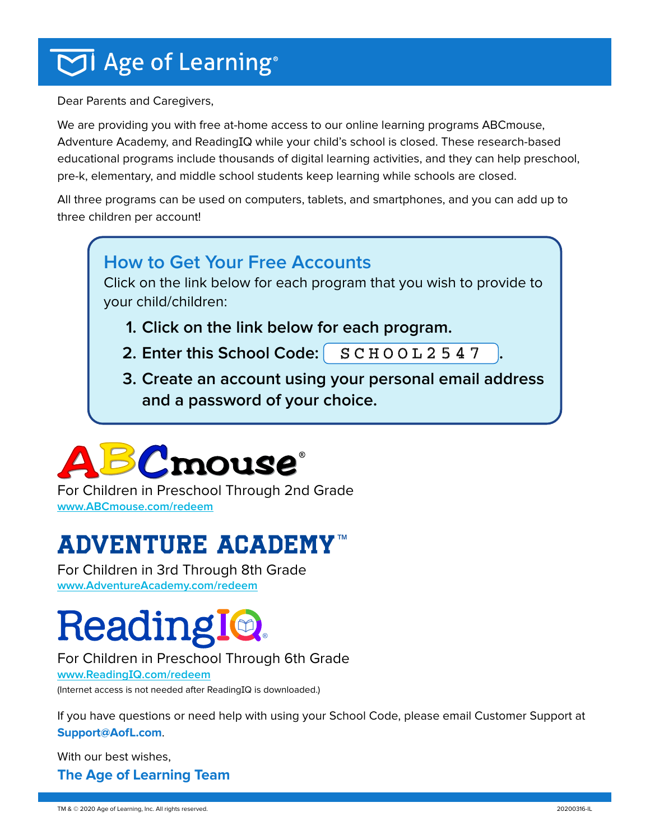## $\overline{\bigcirc}$ l Age of Learning®

Dear Parents and Caregivers,

We are providing you with free at-home access to our online learning programs ABCmouse, Adventure Academy, and ReadingIQ while your child's school is closed. These research-based educational programs include thousands of digital learning activities, and they can help preschool, pre-k, elementary, and middle school students keep learning while schools are closed.

All three programs can be used on computers, tablets, and smartphones, and you can add up to three children per account!

#### **How to Get Your Free Accounts**

Click on the link below for each program that you wish to provide to your child/children:

- **1. Click on the link below for each program.**
- $\textsf{2.}$  **Enter this School Code:**  $\begin{bmatrix} \texttt{SCHOOL2547} \end{bmatrix}$  .
- **3. Create an account using your personal email address and a password of your choice.**



For Children in Preschool Through 2nd Grade **[www.ABCmouse.com/redeem](http://www.ABCmouse.com/redeem  )**

## **ADVENTURE ACADEMY[™](https://www.adventureacademy.com/redeem/)**

For Children in 3rd Through 8th Grade **[www.AdventureAcademy.com/redeem](https://www.adventureacademy.com/redeem/)**

# **Reading**

#### For Children in Preschool Through 6th Grade

**www.ReadingIQ[.com/redeem](https://www.readingiq.com/redeem/)**

(Internet access is not needed after ReadingIQ is downloaded.)

If you have questions or need help with using your School Code, please email Customer Support at **[Support@AofL.com](mailto:Support%40AofL.com?subject=School%20Code%20Redemption%20Assistance)**.

With our best wishes, **The Age of Learning Team**